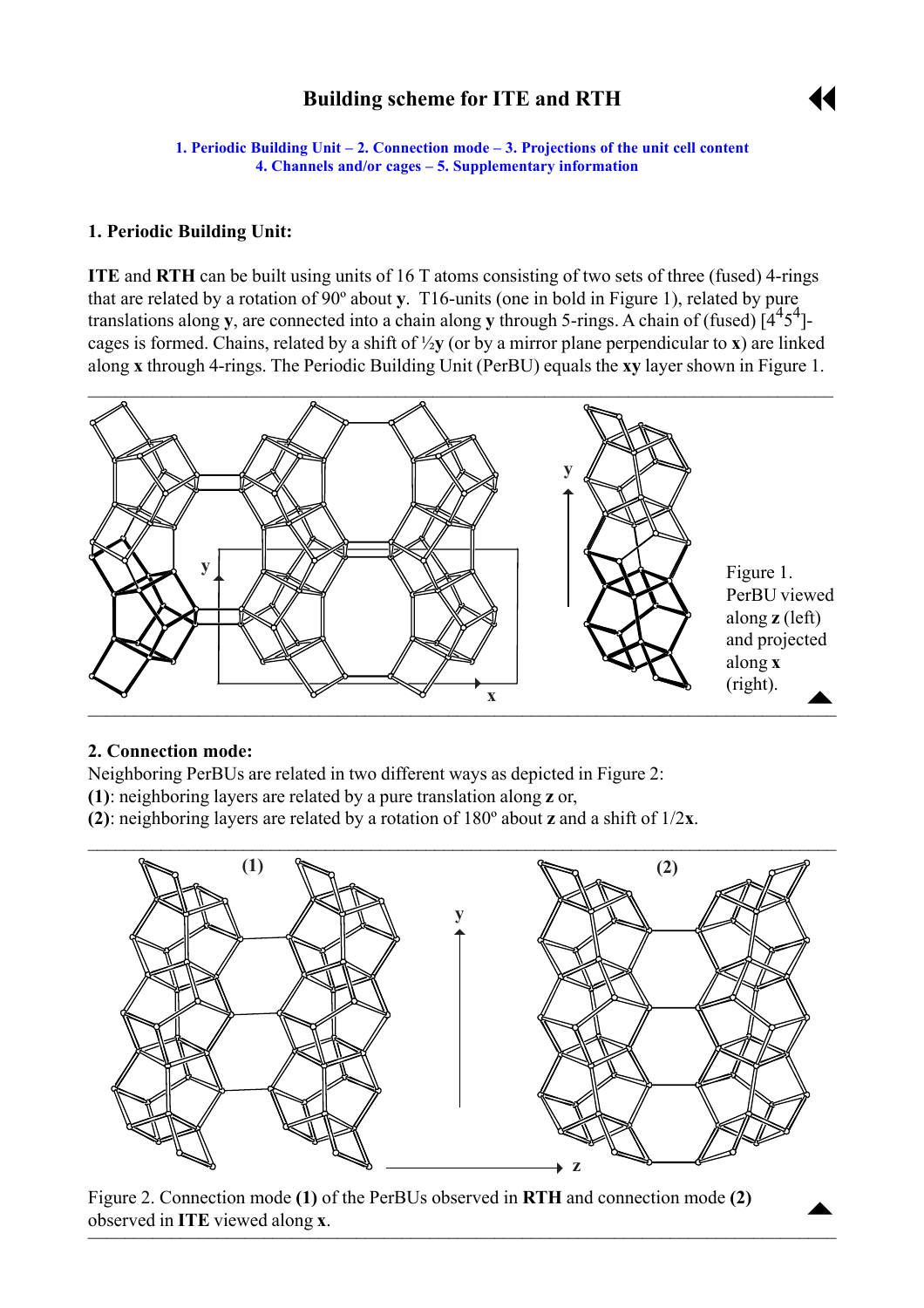# **Building scheme for ITE and RTH**



<span id="page-0-0"></span>**1. Periodic Building Unit – 2. Connection mode – [3. Projections of the unit cell](#page-1-0) content [4. Channels and/or cages](#page-1-0) – [5. Supplementary information](#page-3-0)** 

### **1. Periodic Building Unit:**

**ITE** and **RTH** can be built using units of 16 T atoms consisting of two sets of three (fused) 4-rings that are related by a rotation of 90º about **y**. T16-units (one in bold in Figure 1), related by pure translations along **y**, are connected into a chain along **y** through 5-rings. A chain of (fused)  $[4^45^4]$ cages is formed. Chains, related by a shift of ½**y** (or by a mirror plane perpendicular to **x**) are linked along **x** through 4-rings. The Periodic Building Unit (PerBU) equals the **xy** layer shown in Figure 1.



#### **2. Connection mode:**

Neighboring PerBUs are related in two different ways as depicted in Figure 2:

- **(1)**: neighboring layers are related by a pure translation along **z** or,
- **(2)**: neighboring layers are related by a rotation of 180º about **z** and a shift of 1/2**x**.



Figure 2. Connection mode **(1)** of the PerBUs observed in **RTH** and connection mode **(2)** observed in **ITE** viewed along **x**.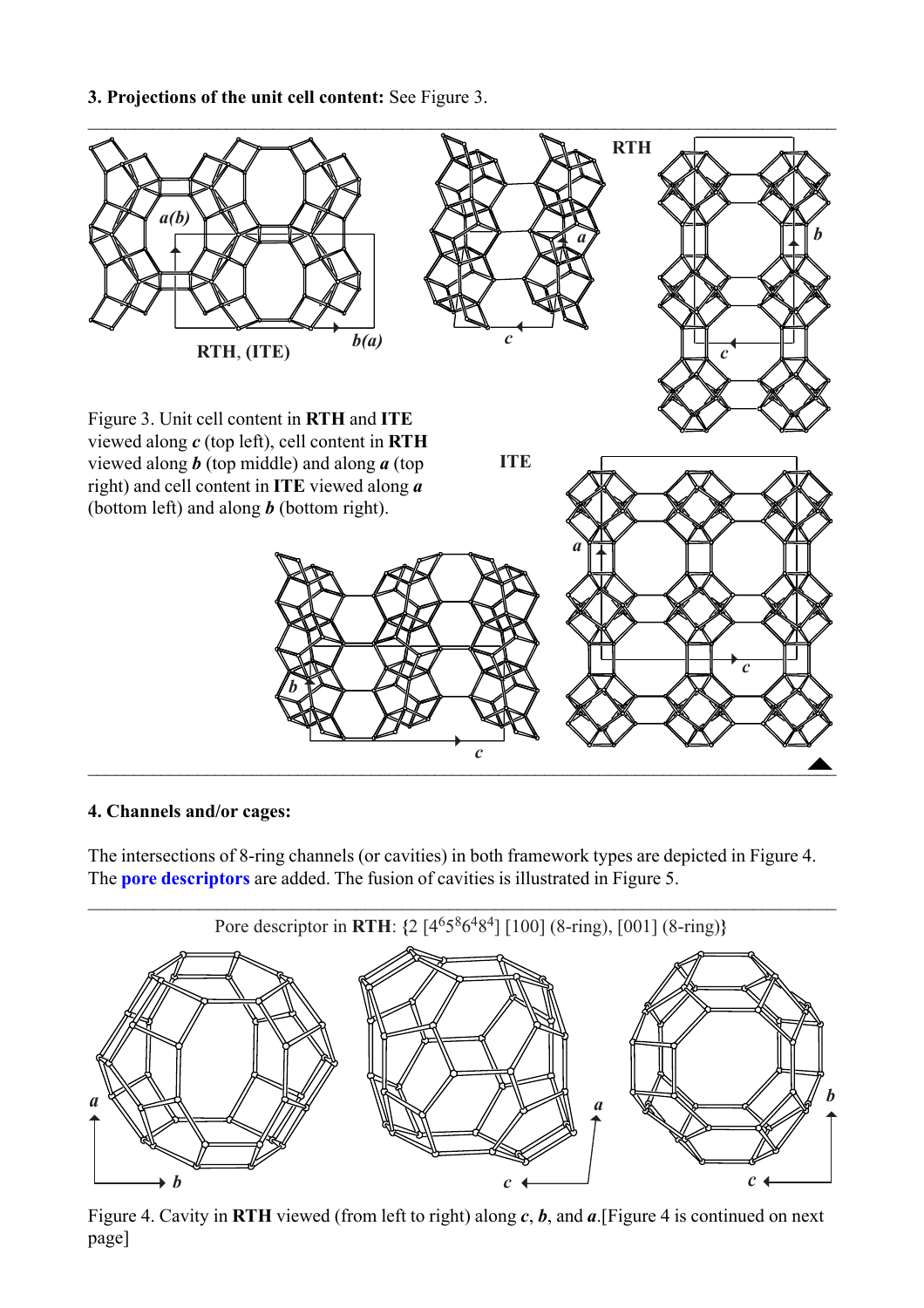<span id="page-1-0"></span>**3. Projections of the unit cell content:** See Figure 3.



#### **4. Channels and/or cages:**

The intersections of 8-ring channels (or cavities) in both framework types are depicted in Figure 4. The **[pore descriptors](http://www.iza-structure.org/databases/ModelBuilding/Introduction.pdf)** are added. The fusion of cavities is illustrated in Figure 5.



Figure 4. Cavity in **RTH** viewed (from left to right) along *c*, *b*, and *a*.[Figure 4 is continued on next page]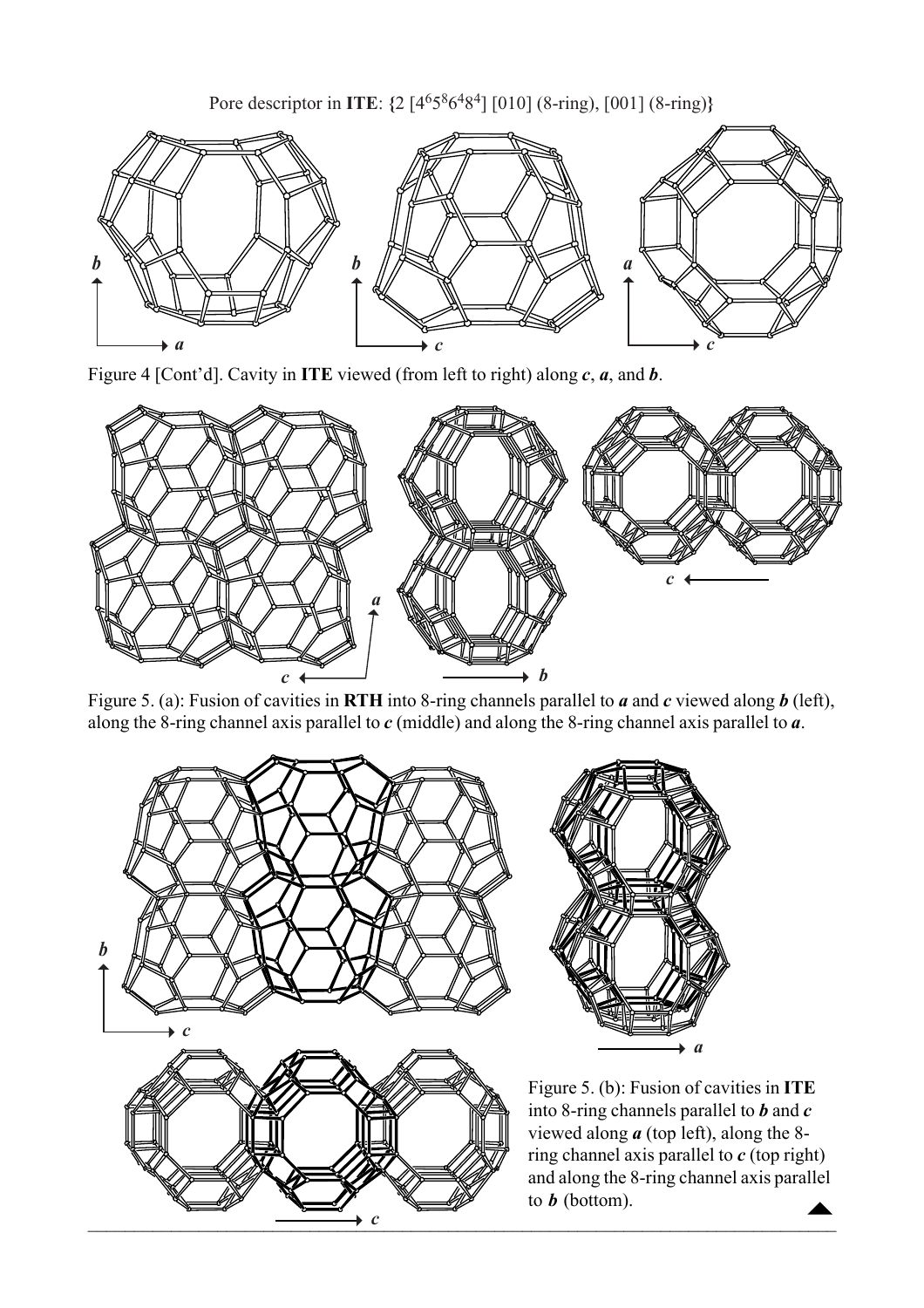Pore descriptor in **ITE**: **{**2 [46586484] [010] (8-ring), [001] (8-ring)**}**



Figure 4 [Cont'd]. Cavity in **ITE** viewed (from left to right) along *c*, *a*, and *b*.



Figure 5. (a): Fusion of cavities in **RTH** into 8-ring channels parallel to *a* and *c* viewed along *b* (left), along the 8-ring channel axis parallel to *c* (middle) and along the 8-ring channel axis parallel to *a*.



 $\begin{array}{c}\n\blacktriangle\n\end{array}$ Figure 5. (b): Fusion of cavities in **ITE** into 8-ring channels parallel to *b* and *c* viewed along *a* (top left), along the 8 ring channel axis parallel to *c* (top right) and along the 8-ring channel axis parallel